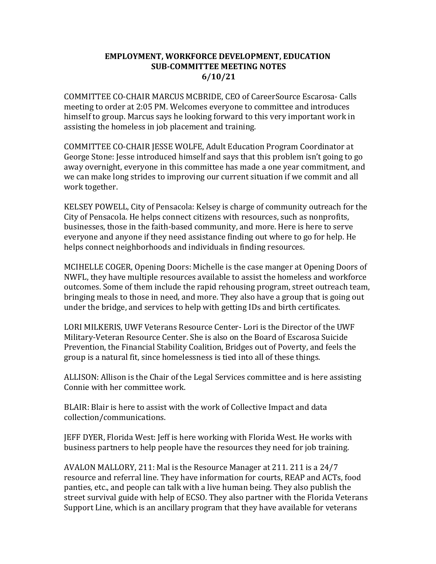#### EMPLOYMENT, WORKFORCE DEVELOPMENT, EDUCATION SUB-COMMITTEE MEETING NOTES 6/10/21

COMMITTEE CO-CHAIR MARCUS MCBRIDE, CEO of CareerSource Escarosa- Calls meeting to order at 2:05 PM. Welcomes everyone to committee and introduces himself to group. Marcus says he looking forward to this very important work in assisting the homeless in job placement and training.

COMMITTEE CO-CHAIR JESSE WOLFE, Adult Education Program Coordinator at George Stone: Jesse introduced himself and says that this problem isn't going to go away overnight, everyone in this committee has made a one year commitment, and we can make long strides to improving our current situation if we commit and all work together.

KELSEY POWELL, City of Pensacola: Kelsey is charge of community outreach for the City of Pensacola. He helps connect citizens with resources, such as nonprofits, businesses, those in the faith-based community, and more. Here is here to serve everyone and anyone if they need assistance finding out where to go for help. He helps connect neighborhoods and individuals in finding resources.

MCIHELLE COGER, Opening Doors: Michelle is the case manger at Opening Doors of NWFL, they have multiple resources available to assist the homeless and workforce outcomes. Some of them include the rapid rehousing program, street outreach team, bringing meals to those in need, and more. They also have a group that is going out under the bridge, and services to help with getting IDs and birth certificates.

LORI MILKERIS, UWF Veterans Resource Center- Lori is the Director of the UWF Military-Veteran Resource Center. She is also on the Board of Escarosa Suicide Prevention, the Financial Stability Coalition, Bridges out of Poverty, and feels the group is a natural fit, since homelessness is tied into all of these things.

ALLISON: Allison is the Chair of the Legal Services committee and is here assisting Connie with her committee work.

BLAIR: Blair is here to assist with the work of Collective Impact and data collection/communications.

JEFF DYER, Florida West: Jeff is here working with Florida West. He works with business partners to help people have the resources they need for job training.

AVALON MALLORY, 211: Mal is the Resource Manager at 211. 211 is a 24/7 resource and referral line. They have information for courts, REAP and ACTs, food panties, etc., and people can talk with a live human being. They also publish the street survival guide with help of ECSO. They also partner with the Florida Veterans Support Line, which is an ancillary program that they have available for veterans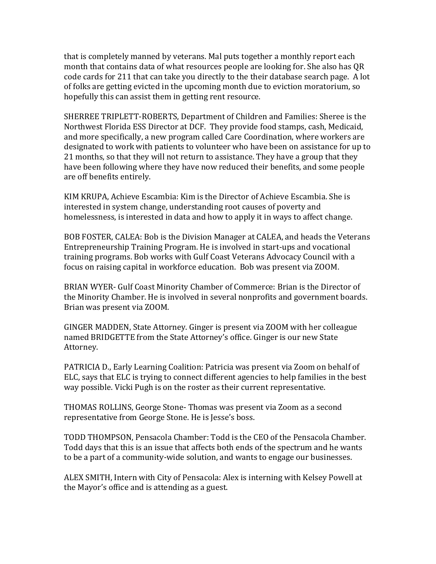that is completely manned by veterans. Mal puts together a monthly report each month that contains data of what resources people are looking for. She also has QR code cards for 211 that can take you directly to the their database search page. A lot of folks are getting evicted in the upcoming month due to eviction moratorium, so hopefully this can assist them in getting rent resource.

SHERREE TRIPLETT-ROBERTS, Department of Children and Families: Sheree is the Northwest Florida ESS Director at DCF. They provide food stamps, cash, Medicaid, and more specifically, a new program called Care Coordination, where workers are designated to work with patients to volunteer who have been on assistance for up to 21 months, so that they will not return to assistance. They have a group that they have been following where they have now reduced their benefits, and some people are off benefits entirely.

KIM KRUPA, Achieve Escambia: Kim is the Director of Achieve Escambia. She is interested in system change, understanding root causes of poverty and homelessness, is interested in data and how to apply it in ways to affect change.

BOB FOSTER, CALEA: Bob is the Division Manager at CALEA, and heads the Veterans Entrepreneurship Training Program. He is involved in start-ups and vocational training programs. Bob works with Gulf Coast Veterans Advocacy Council with a focus on raising capital in workforce education. Bob was present via ZOOM.

BRIAN WYER- Gulf Coast Minority Chamber of Commerce: Brian is the Director of the Minority Chamber. He is involved in several nonprofits and government boards. Brian was present via ZOOM.

GINGER MADDEN, State Attorney. Ginger is present via ZOOM with her colleague named BRIDGETTE from the State Attorney's office. Ginger is our new State Attorney.

PATRICIA D., Early Learning Coalition: Patricia was present via Zoom on behalf of ELC, says that ELC is trying to connect different agencies to help families in the best way possible. Vicki Pugh is on the roster as their current representative.

THOMAS ROLLINS, George Stone- Thomas was present via Zoom as a second representative from George Stone. He is Jesse's boss.

TODD THOMPSON, Pensacola Chamber: Todd is the CEO of the Pensacola Chamber. Todd days that this is an issue that affects both ends of the spectrum and he wants to be a part of a community-wide solution, and wants to engage our businesses.

ALEX SMITH, Intern with City of Pensacola: Alex is interning with Kelsey Powell at the Mayor's office and is attending as a guest.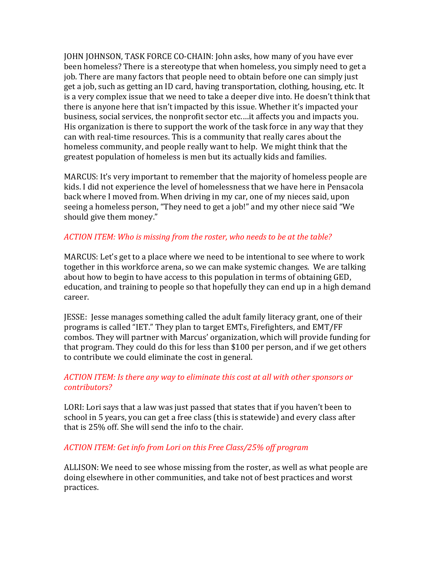JOHN JOHNSON, TASK FORCE CO-CHAIN: John asks, how many of you have ever been homeless? There is a stereotype that when homeless, you simply need to get a job. There are many factors that people need to obtain before one can simply just get a job, such as getting an ID card, having transportation, clothing, housing, etc. It is a very complex issue that we need to take a deeper dive into. He doesn't think that there is anyone here that isn't impacted by this issue. Whether it's impacted your business, social services, the nonprofit sector etc.…it affects you and impacts you. His organization is there to support the work of the task force in any way that they can with real-time resources. This is a community that really cares about the homeless community, and people really want to help. We might think that the greatest population of homeless is men but its actually kids and families.

MARCUS: It's very important to remember that the majority of homeless people are kids. I did not experience the level of homelessness that we have here in Pensacola back where I moved from. When driving in my car, one of my nieces said, upon seeing a homeless person, "They need to get a job!" and my other niece said "We should give them money."

### ACTION ITEM: Who is missing from the roster, who needs to be at the table?

MARCUS: Let's get to a place where we need to be intentional to see where to work together in this workforce arena, so we can make systemic changes. We are talking about how to begin to have access to this population in terms of obtaining GED, education, and training to people so that hopefully they can end up in a high demand career.

JESSE: Jesse manages something called the adult family literacy grant, one of their programs is called "IET." They plan to target EMTs, Firefighters, and EMT/FF combos. They will partner with Marcus' organization, which will provide funding for that program. They could do this for less than \$100 per person, and if we get others to contribute we could eliminate the cost in general.

### ACTION ITEM: Is there any way to eliminate this cost at all with other sponsors or contributors?

LORI: Lori says that a law was just passed that states that if you haven't been to school in 5 years, you can get a free class (this is statewide) and every class after that is 25% off. She will send the info to the chair.

### ACTION ITEM: Get info from Lori on this Free Class/25% off program

ALLISON: We need to see whose missing from the roster, as well as what people are doing elsewhere in other communities, and take not of best practices and worst practices.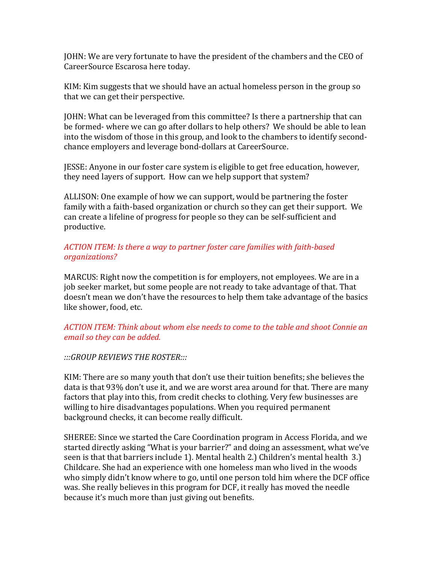JOHN: We are very fortunate to have the president of the chambers and the CEO of CareerSource Escarosa here today.

KIM: Kim suggests that we should have an actual homeless person in the group so that we can get their perspective.

JOHN: What can be leveraged from this committee? Is there a partnership that can be formed- where we can go after dollars to help others? We should be able to lean into the wisdom of those in this group, and look to the chambers to identify secondchance employers and leverage bond-dollars at CareerSource.

JESSE: Anyone in our foster care system is eligible to get free education, however, they need layers of support. How can we help support that system?

ALLISON: One example of how we can support, would be partnering the foster family with a faith-based organization or church so they can get their support. We can create a lifeline of progress for people so they can be self-sufficient and productive.

### ACTION ITEM: Is there a way to partner foster care families with faith-based organizations?

MARCUS: Right now the competition is for employers, not employees. We are in a job seeker market, but some people are not ready to take advantage of that. That doesn't mean we don't have the resources to help them take advantage of the basics like shower, food, etc.

### ACTION ITEM: Think about whom else needs to come to the table and shoot Connie an email so they can be added.

### :::GROUP REVIEWS THE ROSTER:::

KIM: There are so many youth that don't use their tuition benefits; she believes the data is that 93% don't use it, and we are worst area around for that. There are many factors that play into this, from credit checks to clothing. Very few businesses are willing to hire disadvantages populations. When you required permanent background checks, it can become really difficult.

SHEREE: Since we started the Care Coordination program in Access Florida, and we started directly asking "What is your barrier?" and doing an assessment, what we've seen is that that barriers include 1). Mental health 2.) Children's mental health 3.) Childcare. She had an experience with one homeless man who lived in the woods who simply didn't know where to go, until one person told him where the DCF office was. She really believes in this program for DCF, it really has moved the needle because it's much more than just giving out benefits.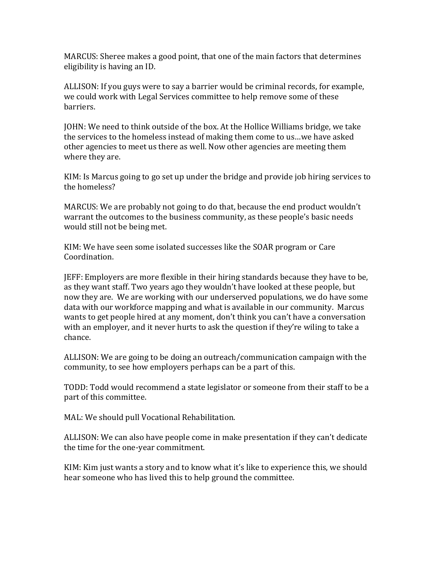MARCUS: Sheree makes a good point, that one of the main factors that determines eligibility is having an ID.

ALLISON: If you guys were to say a barrier would be criminal records, for example, we could work with Legal Services committee to help remove some of these barriers.

JOHN: We need to think outside of the box. At the Hollice Williams bridge, we take the services to the homeless instead of making them come to us…we have asked other agencies to meet us there as well. Now other agencies are meeting them where they are.

KIM: Is Marcus going to go set up under the bridge and provide job hiring services to the homeless?

MARCUS: We are probably not going to do that, because the end product wouldn't warrant the outcomes to the business community, as these people's basic needs would still not be being met.

KIM: We have seen some isolated successes like the SOAR program or Care Coordination.

JEFF: Employers are more flexible in their hiring standards because they have to be, as they want staff. Two years ago they wouldn't have looked at these people, but now they are. We are working with our underserved populations, we do have some data with our workforce mapping and what is available in our community. Marcus wants to get people hired at any moment, don't think you can't have a conversation with an employer, and it never hurts to ask the question if they're wiling to take a chance.

ALLISON: We are going to be doing an outreach/communication campaign with the community, to see how employers perhaps can be a part of this.

TODD: Todd would recommend a state legislator or someone from their staff to be a part of this committee.

MAL: We should pull Vocational Rehabilitation.

ALLISON: We can also have people come in make presentation if they can't dedicate the time for the one-year commitment.

KIM: Kim just wants a story and to know what it's like to experience this, we should hear someone who has lived this to help ground the committee.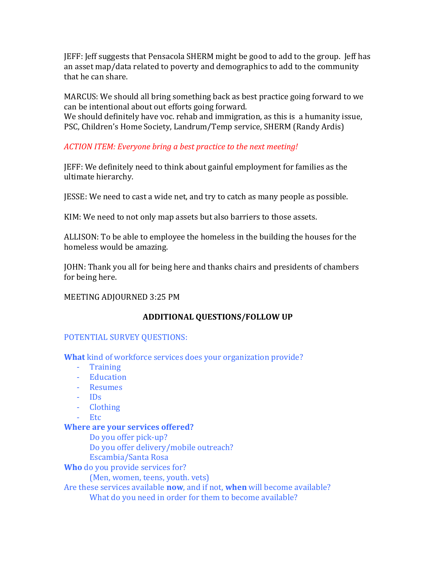JEFF: Jeff suggests that Pensacola SHERM might be good to add to the group. Jeff has an asset map/data related to poverty and demographics to add to the community that he can share.

MARCUS: We should all bring something back as best practice going forward to we can be intentional about out efforts going forward.

We should definitely have voc. rehab and immigration, as this is a humanity issue, PSC, Children's Home Society, Landrum/Temp service, SHERM (Randy Ardis)

# ACTION ITEM: Everyone bring a best practice to the next meeting!

JEFF: We definitely need to think about gainful employment for families as the ultimate hierarchy.

JESSE: We need to cast a wide net, and try to catch as many people as possible.

KIM: We need to not only map assets but also barriers to those assets.

ALLISON: To be able to employee the homeless in the building the houses for the homeless would be amazing.

JOHN: Thank you all for being here and thanks chairs and presidents of chambers for being here.

### MEETING ADJOURNED 3:25 PM

## ADDITIONAL QUESTIONS/FOLLOW UP

## POTENTIAL SURVEY QUESTIONS:

What kind of workforce services does your organization provide?

- Training
- Education
- Resumes
- IDs
- Clothing
- Etc

### Where are your services offered?

 Do you offer pick-up? Do you offer delivery/mobile outreach? Escambia/Santa Rosa

Who do you provide services for?

(Men, women, teens, youth. vets)

Are these services available now, and if not, when will become available? What do you need in order for them to become available?